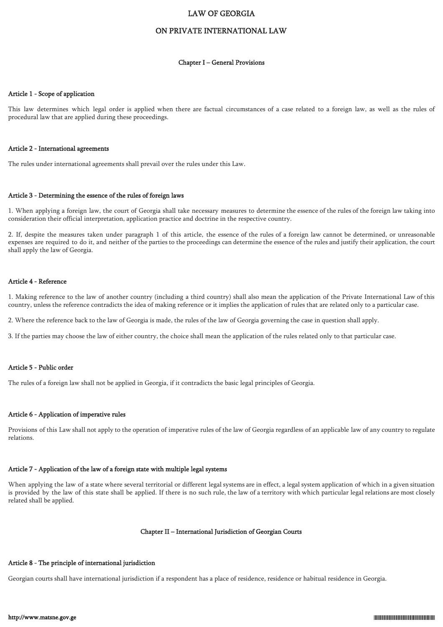### LAW OF GEORGIA

### ON PRIVATE INTERNATIONAL LAW

#### Chapter I – General Provisions

#### Article 1 - Scope of application

This law determines which legal order is applied when there are factual circumstances of a case related to a foreign law, as well as the rules of procedural law that are applied during these proceedings.

#### Article 2 - International agreements

The rules under international agreements shall prevail over the rules under this Law.

#### Article 3 - Determining the essence of the rules of foreign laws

1. When applying a foreign law, the court of Georgia shall take necessary measures to determine the essence of the rules of the foreign law taking into consideration their official interpretation, application practice and doctrine in the respective country.

2. If, despite the measures taken under paragraph 1 of this article, the essence of the rules of a foreign law cannot be determined, or unreasonable expenses are required to do it, and neither of the parties to the proceedings can determine the essence of the rules and justify their application, the court shall apply the law of Georgia.

#### Article 4 - Reference

1. Making reference to the law of another country (including a third country) shall also mean the application of the Private International Law of this country, unless the reference contradicts the idea of making reference or it implies the application of rules that are related only to a particular case.

2. Where the reference back to the law of Georgia is made, the rules of the law of Georgia governing the case in question shall apply.

3. If the parties may choose the law of either country, the choice shall mean the application of the rules related only to that particular case.

#### Article 5 - Public order

The rules of a foreign law shall not be applied in Georgia, if it contradicts the basic legal principles of Georgia.

### Article 6 - Application of imperative rules

Provisions of this Law shall not apply to the operation of imperative rules of the law of Georgia regardless of an applicable law of any country to regulate relations.

# Article 7 - Application of the law of a foreign state with multiple legal systems

When applying the law of a state where several territorial or different legal systems are in effect, a legal system application of which in a given situation is provided by the law of this state shall be applied. If there is no such rule, the law of a territory with which particular legal relations are most closely related shall be applied.

#### Chapter II – International Jurisdiction of Georgian Courts

#### Article 8 - The principle of international jurisdiction

Georgian courts shall have international jurisdiction if a respondent has a place of residence, residence or habitual residence in Georgia.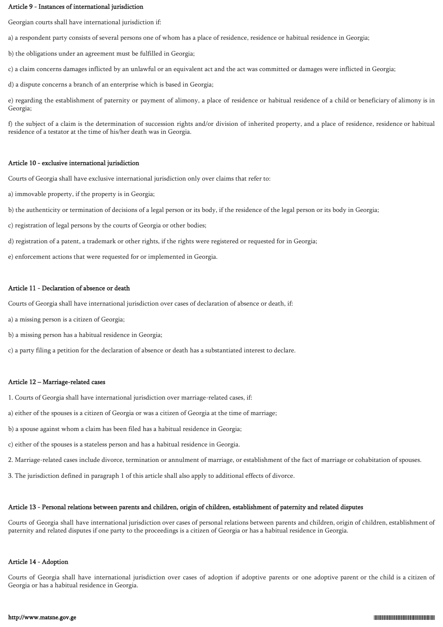### Article 9 - Instances of international jurisdiction

Georgian courts shall have international jurisdiction if:

a) a respondent party consists of several persons one of whom has a place of residence, residence or habitual residence in Georgia;

b) the obligations under an agreement must be fulfilled in Georgia;

c) a claim concerns damages inflicted by an unlawful or an equivalent act and the act was committed or damages were inflicted in Georgia;

d) a dispute concerns a branch of an enterprise which is based in Georgia;

e) regarding the establishment of paternity or payment of alimony, a place of residence or habitual residence of a child or beneficiary of alimony is in Georgia;

f) the subject of a claim is the determination of succession rights and/or division of inherited property, and a place of residence, residence or habitual residence of a testator at the time of his/her death was in Georgia.

### Article 10 - exclusive international jurisdiction

Courts of Georgia shall have exclusive international jurisdiction only over claims that refer to:

- a) immovable property, if the property is in Georgia;
- b) the authenticity or termination of decisions of a legal person or its body, if the residence of the legal person or its body in Georgia;
- c) registration of legal persons by the courts of Georgia or other bodies;
- d) registration of a patent, a trademark or other rights, if the rights were registered or requested for in Georgia;
- e) enforcement actions that were requested for or implemented in Georgia.

### Article 11 - Declaration of absence or death

Courts of Georgia shall have international jurisdiction over cases of declaration of absence or death, if:

a) a missing person is a citizen of Georgia;

b) a missing person has a habitual residence in Georgia;

c) a party filing a petition for the declaration of absence or death has a substantiated interest to declare.

### Article 12 – Marriage-related cases

- 1. Courts of Georgia shall have international jurisdiction over marriage-related cases, if:
- a) either of the spouses is a citizen of Georgia or was a citizen of Georgia at the time of marriage;
- b) a spouse against whom a claim has been filed has a habitual residence in Georgia;
- c) either of the spouses is a stateless person and has a habitual residence in Georgia.
- 2. Marriage-related cases include divorce, termination or annulment of marriage, or establishment of the fact of marriage or cohabitation of spouses.
- 3. The jurisdiction defined in paragraph 1 of this article shall also apply to additional effects of divorce.

# Article 13 - Personal relations between parents and children, origin of children, establishment of paternity and related disputes

Courts of Georgia shall have international jurisdiction over cases of personal relations between parents and children, origin of children, establishment of paternity and related disputes if one party to the proceedings is a citizen of Georgia or has a habitual residence in Georgia.

# Article 14 - Adoption

Courts of Georgia shall have international jurisdiction over cases of adoption if adoptive parents or one adoptive parent or the child is a citizen of Georgia or has a habitual residence in Georgia.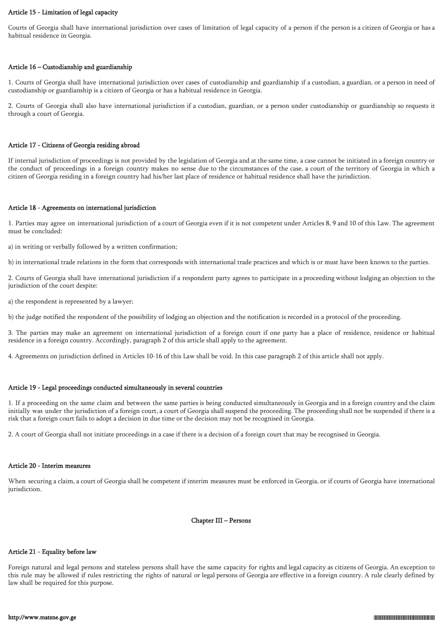### Article 15 - Limitation of legal capacity

Courts of Georgia shall have international jurisdiction over cases of limitation of legal capacity of a person if the person is a citizen of Georgia or has a habitual residence in Georgia.

### Article 16 – Custodianship and guardianship

1. Courts of Georgia shall have international jurisdiction over cases of custodianship and guardianship if a custodian, a guardian, or a person in need of custodianship or guardianship is a citizen of Georgia or has a habitual residence in Georgia.

2. Courts of Georgia shall also have international jurisdiction if a custodian, guardian, or a person under custodianship or guardianship so requests it through a court of Georgia.

### Article 17 - Citizens of Georgia residing abroad

If internal jurisdiction of proceedings is not provided by the legislation of Georgia and at the same time, a case cannot be initiated in a foreign country or the conduct of proceedings in a foreign country makes no sense due to the circumstances of the case, a court of the territory of Georgia in which a citizen of Georgia residing in a foreign country had his/her last place of residence or habitual residence shall have the jurisdiction.

### Article 18 - Agreements on international jurisdiction

1. Parties may agree on international jurisdiction of a court of Georgia even if it is not competent under Articles 8, 9 and 10 of this Law. The agreement must be concluded:

a) in writing or verbally followed by a written confirmation;

b) in international trade relations in the form that corresponds with international trade practices and which is or must have been known to the parties.

2. Courts of Georgia shall have international jurisdiction if a respondent party agrees to participate in a proceeding without lodging an objection to the jurisdiction of the court despite:

a) the respondent is represented by a lawyer;

b) the judge notified the respondent of the possibility of lodging an objection and the notification is recorded in a protocol of the proceeding.

3. The parties may make an agreement on international jurisdiction of a foreign court if one party has a place of residence, residence or habitual residence in a foreign country. Accordingly, paragraph 2 of this article shall apply to the agreement.

4. Agreements on jurisdiction defined in Articles 10-16 of this Law shall be void. In this case paragraph 2 of this article shall not apply.

### Article 19 - Legal proceedings conducted simultaneously in several countries

1. If a proceeding on the same claim and between the same parties is being conducted simultaneously in Georgia and in a foreign country and the claim initially was under the jurisdiction of a foreign court, a court of Georgia shall suspend the proceeding. The proceeding shall not be suspended if there is a risk that a foreign court fails to adopt a decision in due time or the decision may not be recognised in Georgia.

2. A court of Georgia shall not initiate proceedings in a case if there is a decision of a foreign court that may be recognised in Georgia.

#### Article 20 - Interim measures

When securing a claim, a court of Georgia shall be competent if interim measures must be enforced in Georgia, or if courts of Georgia have international jurisdiction.

### Chapter III – Persons

### Article 21 - Equality before law

Foreign natural and legal persons and stateless persons shall have the same capacity for rights and legal capacity as citizens of Georgia. An exception to this rule may be allowed if rules restricting the rights of natural or legal persons of Georgia are effective in a foreign country. A rule clearly defined by law shall be required for this purpose.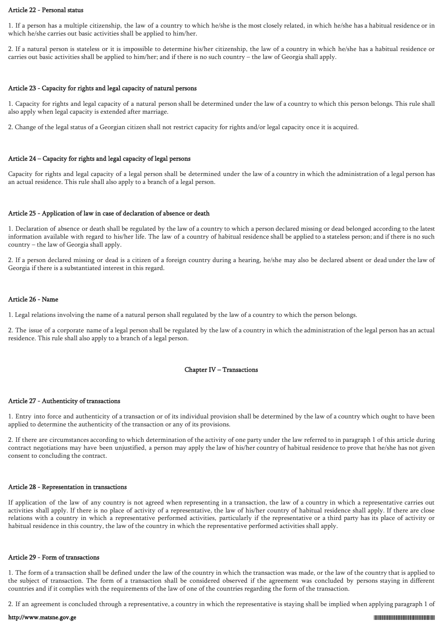#### Article 22 - Personal status

1. If a person has a multiple citizenship, the law of a country to which he/she is the most closely related, in which he/she has a habitual residence or in which he/she carries out basic activities shall be applied to him/her.

2. If a natural person is stateless or it is impossible to determine his/her citizenship, the law of a country in which he/she has a habitual residence or carries out basic activities shall be applied to him/her; and if there is no such country – the law of Georgia shall apply.

#### Article 23 - Capacity for rights and legal capacity of natural persons

1. Capacity for rights and legal capacity of a natural person shall be determined under the law of a country to which this person belongs. This rule shall also apply when legal capacity is extended after marriage.

2. Change of the legal status of a Georgian citizen shall not restrict capacity for rights and/or legal capacity once it is acquired.

### Article 24 – Capacity for rights and legal capacity of legal persons

Capacity for rights and legal capacity of a legal person shall be determined under the law of a country in which the administration of a legal person has an actual residence. This rule shall also apply to a branch of a legal person.

### Article 25 - Application of law in case of declaration of absence or death

1. Declaration of absence or death shall be regulated by the law of a country to which a person declared missing or dead belonged according to the latest information available with regard to his/her life. The law of a country of habitual residence shall be applied to a stateless person; and if there is no such country – the law of Georgia shall apply.

2. If a person declared missing or dead is a citizen of a foreign country during a hearing, he/she may also be declared absent or dead under the law of Georgia if there is a substantiated interest in this regard.

### Article 26 - Name

1. Legal relations involving the name of a natural person shall regulated by the law of a country to which the person belongs.

2. The issue of a corporate name of a legal person shall be regulated by the law of a country in which the administration of the legal person has an actual residence. This rule shall also apply to a branch of a legal person.

### Chapter IV – Transactions

### Article 27 - Authenticity of transactions

1. Entry into force and authenticity of a transaction or of its individual provision shall be determined by the law of a country which ought to have been applied to determine the authenticity of the transaction or any of its provisions.

2. If there are circumstances according to which determination of the activity of one party under the law referred to in paragraph 1 of this article during contract negotiations may have been unjustified, a person may apply the law of his/her country of habitual residence to prove that he/she has not given consent to concluding the contract.

#### Article 28 - Representation in transactions

If application of the law of any country is not agreed when representing in a transaction, the law of a country in which a representative carries out activities shall apply. If there is no place of activity of a representative, the law of his/her country of habitual residence shall apply. If there are close relations with a country in which a representative performed activities, particularly if the representative or a third party has its place of activity or habitual residence in this country, the law of the country in which the representative performed activities shall apply.

#### Article 29 - Form of transactions

1. The form of a transaction shall be defined under the law of the country in which the transaction was made, or the law of the country that is applied to the subject of transaction. The form of a transaction shall be considered observed if the agreement was concluded by persons staying in different countries and if it complies with the requirements of the law of one of the countries regarding the form of the transaction.

2. If an agreement is concluded through a representative, a country in which the representative is staying shall be implied when applying paragraph 1 of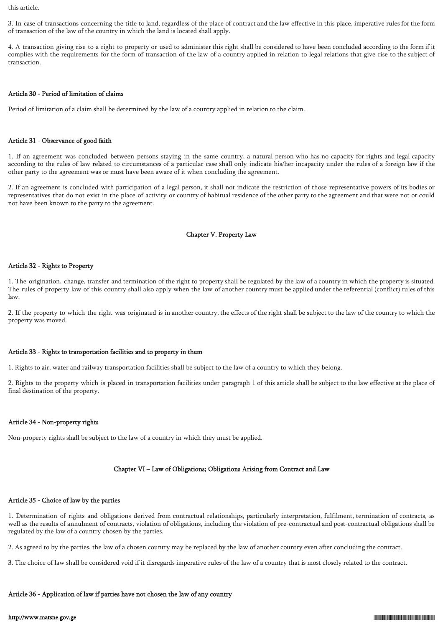this article.

3. In case of transactions concerning the title to land, regardless of the place of contract and the law effective in this place, imperative rules for the form of transaction of the law of the country in which the land is located shall apply.

4. A transaction giving rise to a right to property or used to administer this right shall be considered to have been concluded according to the form if it complies with the requirements for the form of transaction of the law of a country applied in relation to legal relations that give rise to the subject of transaction.

### Article 30 - Period of limitation of claims

Period of limitation of a claim shall be determined by the law of a country applied in relation to the claim.

#### Article 31 - Observance of good faith

1. If an agreement was concluded between persons staying in the same country, a natural person who has no capacity for rights and legal capacity according to the rules of law related to circumstances of a particular case shall only indicate his/her incapacity under the rules of a foreign law if the other party to the agreement was or must have been aware of it when concluding the agreement.

2. If an agreement is concluded with participation of a legal person, it shall not indicate the restriction of those representative powers of its bodies or representatives that do not exist in the place of activity or country of habitual residence of the other party to the agreement and that were not or could not have been known to the party to the agreement.

### Chapter V. Property Law

### Article 32 - Rights to Property

1. The origination, change, transfer and termination of the right to property shall be regulated by the law of a country in which the property is situated. The rules of property law of this country shall also apply when the law of another country must be applied under the referential (conflict) rules of this law.

2. If the property to which the right was originated is in another country, the effects of the right shall be subject to the law of the country to which the property was moved.

#### Article 33 - Rights to transportation facilities and to property in them

1. Rights to air, water and railway transportation facilities shall be subject to the law of a country to which they belong.

2. Rights to the property which is placed in transportation facilities under paragraph 1 of this article shall be subject to the law effective at the place of final destination of the property.

### Article 34 - Non-property rights

Non-property rights shall be subject to the law of a country in which they must be applied.

# Chapter VI – Law of Obligations; Obligations Arising from Contract and Law

### Article 35 - Choice of law by the parties

1. Determination of rights and obligations derived from contractual relationships, particularly interpretation, fulfilment, termination of contracts, as well as the results of annulment of contracts, violation of obligations, including the violation of pre-contractual and post-contractual obligations shall be regulated by the law of a country chosen by the parties.

2. As agreed to by the parties, the law of a chosen country may be replaced by the law of another country even after concluding the contract.

3. The choice of law shall be considered void if it disregards imperative rules of the law of a country that is most closely related to the contract.

### Article 36 - Application of law if parties have not chosen the law of any country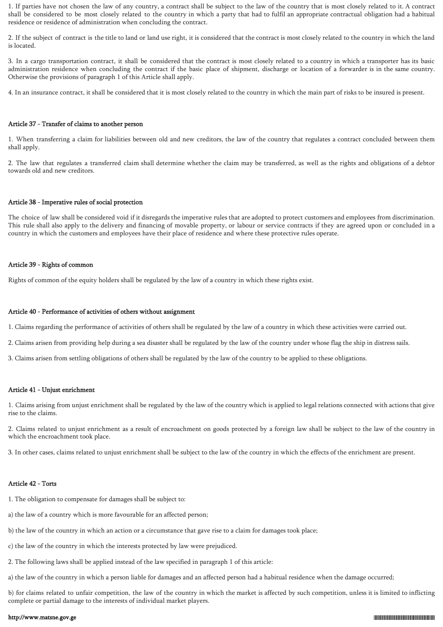1. If parties have not chosen the law of any country, a contract shall be subject to the law of the country that is most closely related to it. A contract shall be considered to be most closely related to the country in which a party that had to fulfil an appropriate contractual obligation had a habitual residence or residence of administration when concluding the contract.

2. If the subject of contract is the title to land or land use right, it is considered that the contract is most closely related to the country in which the land is located.

3. In a cargo transportation contract, it shall be considered that the contract is most closely related to a country in which a transporter has its basic administration residence when concluding the contract if the basic place of shipment, discharge or location of a forwarder is in the same country. Otherwise the provisions of paragraph 1 of this Article shall apply.

4. In an insurance contract, it shall be considered that it is most closely related to the country in which the main part of risks to be insured is present.

#### Article 37 - Transfer of claims to another person

1. When transferring a claim for liabilities between old and new creditors, the law of the country that regulates a contract concluded between them shall apply.

2. The law that regulates a transferred claim shall determine whether the claim may be transferred, as well as the rights and obligations of a debtor towards old and new creditors.

### Article 38 - Imperative rules of social protection

The choice of law shall be considered void if it disregards the imperative rules that are adopted to protect customers and employees from discrimination. This rule shall also apply to the delivery and financing of movable property, or labour or service contracts if they are agreed upon or concluded in a country in which the customers and employees have their place of residence and where these protective rules operate.

### Article 39 - Rights of common

Rights of common of the equity holders shall be regulated by the law of a country in which these rights exist.

#### Article 40 - Performance of activities of others without assignment

1. Claims regarding the performance of activities of others shall be regulated by the law of a country in which these activities were carried out.

- 2. Claims arisen from providing help during a sea disaster shall be regulated by the law of the country under whose flag the ship in distress sails.
- 3. Claims arisen from settling obligations of others shall be regulated by the law of the country to be applied to these obligations.

### Article 41 - Unjust enrichment

1. Claims arising from unjust enrichment shall be regulated by the law of the country which is applied to legal relations connected with actions that give rise to the claims.

2. Claims related to unjust enrichment as a result of encroachment on goods protected by a foreign law shall be subject to the law of the country in which the encroachment took place.

3. In other cases, claims related to unjust enrichment shall be subject to the law of the country in which the effects of the enrichment are present.

#### Article 42 - Torts

- 1. The obligation to compensate for damages shall be subject to:
- a) the law of a country which is more favourable for an affected person;
- b) the law of the country in which an action or a circumstance that gave rise to a claim for damages took place;
- c) the law of the country in which the interests protected by law were prejudiced.
- 2. The following laws shall be applied instead of the law specified in paragraph 1 of this article:
- a) the law of the country in which a person liable for damages and an affected person had a habitual residence when the damage occurred;

b) for claims related to unfair competition, the law of the country in which the market is affected by such competition, unless it is limited to inflicting complete or partial damage to the interests of individual market players.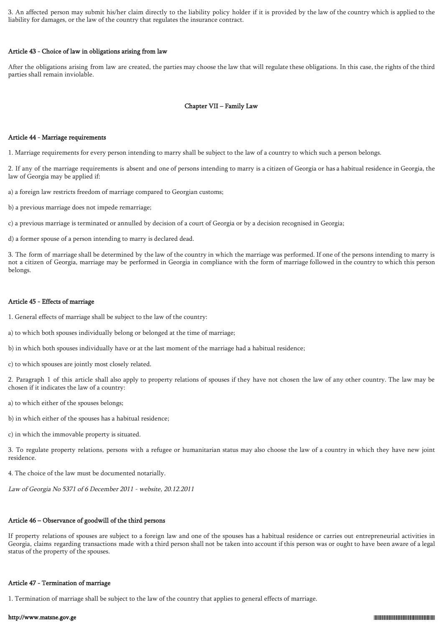3. An affected person may submit his/her claim directly to the liability policy holder if it is provided by the law of the country which is applied to the liability for damages, or the law of the country that regulates the insurance contract.

### Article 43 - Choice of law in obligations arising from law

After the obligations arising from law are created, the parties may choose the law that will regulate these obligations. In this case, the rights of the third parties shall remain inviolable.

### Chapter VII – Family Law

### Article 44 - Marriage requirements

1. Marriage requirements for every person intending to marry shall be subject to the law of a country to which such a person belongs.

2. If any of the marriage requirements is absent and one of persons intending to marry is a citizen of Georgia or has a habitual residence in Georgia, the law of Georgia may be applied if:

a) a foreign law restricts freedom of marriage compared to Georgian customs;

b) a previous marriage does not impede remarriage;

c) a previous marriage is terminated or annulled by decision of a court of Georgia or by a decision recognised in Georgia;

d) a former spouse of a person intending to marry is declared dead.

3. The form of marriage shall be determined by the law of the country in which the marriage was performed. If one of the persons intending to marry is not a citizen of Georgia, marriage may be performed in Georgia in compliance with the form of marriage followed in the country to which this person belongs.

#### Article 45 - Effects of marriage

- 1. General effects of marriage shall be subject to the law of the country:
- a) to which both spouses individually belong or belonged at the time of marriage;
- b) in which both spouses individually have or at the last moment of the marriage had a habitual residence;
- c) to which spouses are jointly most closely related.

2. Paragraph 1 of this article shall also apply to property relations of spouses if they have not chosen the law of any other country. The law may be chosen if it indicates the law of a country:

- a) to which either of the spouses belongs;
- b) in which either of the spouses has a habitual residence;
- c) in which the immovable property is situated.

3. To regulate property relations, persons with a refugee or humanitarian status may also choose the law of a country in which they have new joint residence.

4. The choice of the law must be documented notarially.

Law of Georgia No 5371 of 6 December 2011 - website, 20.12.2011

### Article 46 – Observance of goodwill of the third persons

If property relations of spouses are subject to a foreign law and one of the spouses has a habitual residence or carries out entrepreneurial activities in Georgia, claims regarding transactions made with a third person shall not be taken into account if this person was or ought to have been aware of a legal status of the property of the spouses.

#### Article 47 - Termination of marriage

1. Termination of marriage shall be subject to the law of the country that applies to general effects of marriage.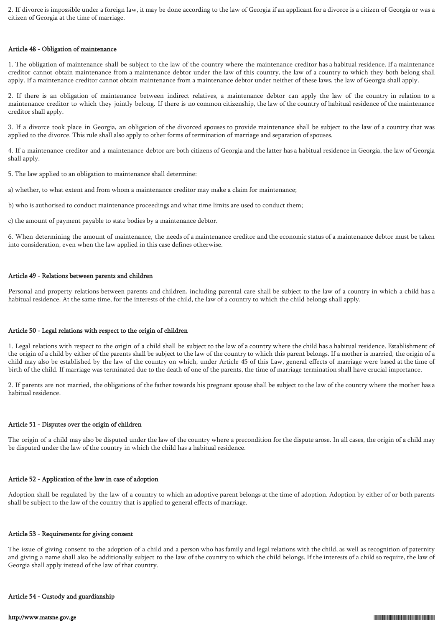2. If divorce is impossible under a foreign law, it may be done according to the law of Georgia if an applicant for a divorce is a citizen of Georgia or was a citizen of Georgia at the time of marriage.

#### Article 48 - Obligation of maintenance

1. The obligation of maintenance shall be subject to the law of the country where the maintenance creditor has a habitual residence. If a maintenance creditor cannot obtain maintenance from a maintenance debtor under the law of this country, the law of a country to which they both belong shall apply. If a maintenance creditor cannot obtain maintenance from a maintenance debtor under neither of these laws, the law of Georgia shall apply.

2. If there is an obligation of maintenance between indirect relatives, a maintenance debtor can apply the law of the country in relation to a maintenance creditor to which they jointly belong. If there is no common citizenship, the law of the country of habitual residence of the maintenance creditor shall apply.

3. If a divorce took place in Georgia, an obligation of the divorced spouses to provide maintenance shall be subject to the law of a country that was applied to the divorce. This rule shall also apply to other forms of termination of marriage and separation of spouses.

4. If a maintenance creditor and a maintenance debtor are both citizens of Georgia and the latter has a habitual residence in Georgia, the law of Georgia shall apply.

5. The law applied to an obligation to maintenance shall determine:

a) whether, to what extent and from whom a maintenance creditor may make a claim for maintenance;

b) who is authorised to conduct maintenance proceedings and what time limits are used to conduct them;

c) the amount of payment payable to state bodies by a maintenance debtor.

6. When determining the amount of maintenance, the needs of a maintenance creditor and the economic status of a maintenance debtor must be taken into consideration, even when the law applied in this case defines otherwise.

#### Article 49 - Relations between parents and children

Personal and property relations between parents and children, including parental care shall be subject to the law of a country in which a child has a habitual residence. At the same time, for the interests of the child, the law of a country to which the child belongs shall apply.

#### Article 50 - Legal relations with respect to the origin of children

1. Legal relations with respect to the origin of a child shall be subject to the law of a country where the child has a habitual residence. Establishment of the origin of a child by either of the parents shall be subject to the law of the country to which this parent belongs. If a mother is married, the origin of a child may also be established by the law of the country on which, under Article 45 of this Law, general effects of marriage were based at the time of birth of the child. If marriage was terminated due to the death of one of the parents, the time of marriage termination shall have crucial importance.

2. If parents are not married, the obligations of the father towards his pregnant spouse shall be subject to the law of the country where the mother has a habitual residence.

#### Article 51 - Disputes over the origin of children

The origin of a child may also be disputed under the law of the country where a precondition for the dispute arose. In all cases, the origin of a child may be disputed under the law of the country in which the child has a habitual residence.

#### Article 52 - Application of the law in case of adoption

Adoption shall be regulated by the law of a country to which an adoptive parent belongs at the time of adoption. Adoption by either of or both parents shall be subject to the law of the country that is applied to general effects of marriage.

#### Article 53 - Requirements for giving consent

The issue of giving consent to the adoption of a child and a person who has family and legal relations with the child, as well as recognition of paternity and giving a name shall also be additionally subject to the law of the country to which the child belongs. If the interests of a child so require, the law of Georgia shall apply instead of the law of that country.

#### Article 54 - Custody and guardianship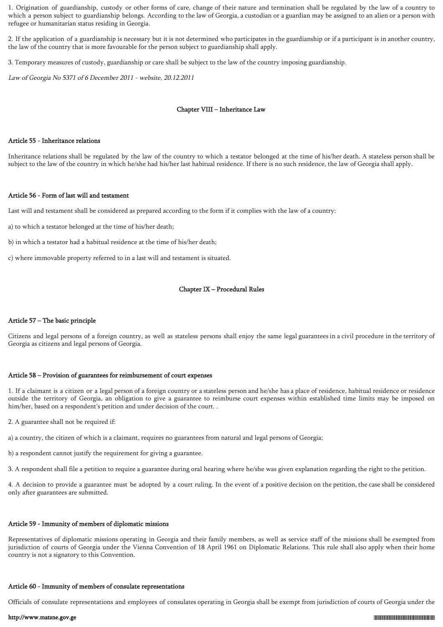1. Origination of guardianship, custody or other forms of care, change of their nature and termination shall be regulated by the law of a country to which a person subject to guardianship belongs. According to the law of Georgia, a custodian or a guardian may be assigned to an alien or a person with refugee or humanitarian status residing in Georgia.

2. If the application of a guardianship is necessary but it is not determined who participates in the guardianship or if a participant is in another country, the law of the country that is more favourable for the person subject to guardianship shall apply.

3. Temporary measures of custody, guardianship or care shall be subject to the law of the country imposing guardianship.

Law of Georgia No 5371 of 6 December 2011 - website, 20.12.2011

## Chapter VIII – Inheritance Law

#### Article 55 - Inheritance relations

Inheritance relations shall be regulated by the law of the country to which a testator belonged at the time of his/her death. A stateless person shall be subject to the law of the country in which he/she had his/her last habitual residence. If there is no such residence, the law of Georgia shall apply.

#### Article 56 - Form of last will and testament

Last will and testament shall be considered as prepared according to the form if it complies with the law of a country:

a) to which a testator belonged at the time of his/her death;

b) in which a testator had a habitual residence at the time of his/her death;

c) where immovable property referred to in a last will and testament is situated.

### Chapter IX – Procedural Rules

### Article 57 – The basic principle

Citizens and legal persons of a foreign country, as well as stateless persons shall enjoy the same legal guarantees in a civil procedure in the territory of Georgia as citizens and legal persons of Georgia.

#### Article 58 – Provision of guarantees for reimbursement of court expenses

1. If a claimant is a citizen or a legal person of a foreign country or a stateless person and he/she has a place of residence, habitual residence or residence outside the territory of Georgia, an obligation to give a guarantee to reimburse court expenses within established time limits may be imposed on him/her, based on a respondent's petition and under decision of the court. .

- 2. A guarantee shall not be required if:
- a) a country, the citizen of which is a claimant, requires no guarantees from natural and legal persons of Georgia;
- b) a respondent cannot justify the requirement for giving a guarantee.
- 3. A respondent shall file a petition to require a guarantee during oral hearing where he/she was given explanation regarding the right to the petition.

4. A decision to provide a guarantee must be adopted by a court ruling. In the event of a positive decision on the petition, the case shall be considered only after guarantees are submitted.

# Article 59 - Immunity of members of diplomatic missions

Representatives of diplomatic missions operating in Georgia and their family members, as well as service staff of the missions shall be exempted from jurisdiction of courts of Georgia under the Vienna Convention of 18 April 1961 on Diplomatic Relations. This rule shall also apply when their home country is not a signatory to this Convention.

#### Article 60 - Immunity of members of consulate representations

Officials of consulate representations and employees of consulates operating in Georgia shall be exempt from jurisdiction of courts of Georgia under the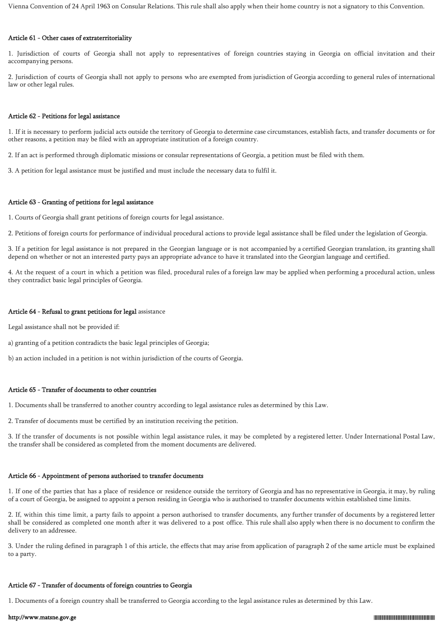Vienna Convention of 24 April 1963 on Consular Relations. This rule shall also apply when their home country is not a signatory to this Convention.

### Article 61 - Other cases of extraterritoriality

1. Jurisdiction of courts of Georgia shall not apply to representatives of foreign countries staying in Georgia on official invitation and their accompanying persons.

2. Jurisdiction of courts of Georgia shall not apply to persons who are exempted from jurisdiction of Georgia according to general rules of international law or other legal rules.

#### Article 62 - Petitions for legal assistance

1. If it is necessary to perform judicial acts outside the territory of Georgia to determine case circumstances, establish facts, and transfer documents or for other reasons, a petition may be filed with an appropriate institution of a foreign country.

2. If an act is performed through diplomatic missions or consular representations of Georgia, a petition must be filed with them.

3. A petition for legal assistance must be justified and must include the necessary data to fulfil it.

#### Article 63 - Granting of petitions for legal assistance

1. Courts of Georgia shall grant petitions of foreign courts for legal assistance.

2. Petitions of foreign courts for performance of individual procedural actions to provide legal assistance shall be filed under the legislation of Georgia.

3. If a petition for legal assistance is not prepared in the Georgian language or is not accompanied by a certified Georgian translation, its granting shall depend on whether or not an interested party pays an appropriate advance to have it translated into the Georgian language and certified.

4. At the request of a court in which a petition was filed, procedural rules of a foreign law may be applied when performing a procedural action, unless they contradict basic legal principles of Georgia.

#### Article 64 - Refusal to grant petitions for legal assistance

Legal assistance shall not be provided if:

a) granting of a petition contradicts the basic legal principles of Georgia;

b) an action included in a petition is not within jurisdiction of the courts of Georgia.

### Article 65 - Transfer of documents to other countries

1. Documents shall be transferred to another country according to legal assistance rules as determined by this Law.

2. Transfer of documents must be certified by an institution receiving the petition.

3. If the transfer of documents is not possible within legal assistance rules, it may be completed by a registered letter. Under International Postal Law, the transfer shall be considered as completed from the moment documents are delivered.

#### Article 66 - Appointment of persons authorised to transfer documents

1. If one of the parties that has a place of residence or residence outside the territory of Georgia and has no representative in Georgia, it may, by ruling of a court of Georgia, be assigned to appoint a person residing in Georgia who is authorised to transfer documents within established time limits.

2. If, within this time limit, a party fails to appoint a person authorised to transfer documents, any further transfer of documents by a registered letter shall be considered as completed one month after it was delivered to a post office. This rule shall also apply when there is no document to confirm the delivery to an addressee.

3. Under the ruling defined in paragraph 1 of this article, the effects that may arise from application of paragraph 2 of the same article must be explained to a party.

### Article 67 - Transfer of documents of foreign countries to Georgia

1. Documents of a foreign country shall be transferred to Georgia according to the legal assistance rules as determined by this Law.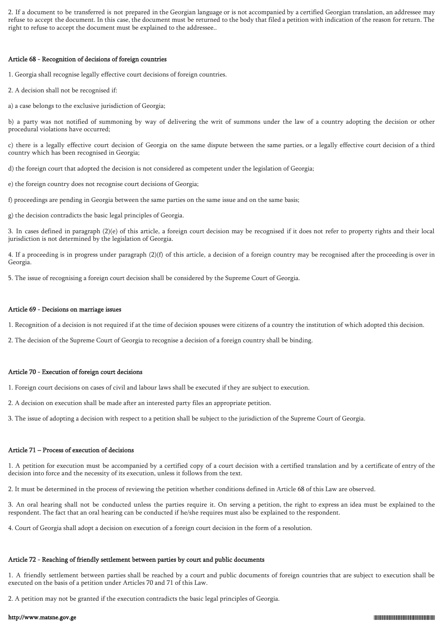2. If a document to be transferred is not prepared in the Georgian language or is not accompanied by a certified Georgian translation, an addressee may refuse to accept the document. In this case, the document must be returned to the body that filed a petition with indication of the reason for return. The right to refuse to accept the document must be explained to the addressee..

### Article 68 - Recognition of decisions of foreign countries

1. Georgia shall recognise legally effective court decisions of foreign countries.

2. A decision shall not be recognised if:

a) a case belongs to the exclusive jurisdiction of Georgia;

b) a party was not notified of summoning by way of delivering the writ of summons under the law of a country adopting the decision or other procedural violations have occurred;

c) there is a legally effective court decision of Georgia on the same dispute between the same parties, or a legally effective court decision of a third country which has been recognised in Georgia;

d) the foreign court that adopted the decision is not considered as competent under the legislation of Georgia;

e) the foreign country does not recognise court decisions of Georgia;

f) proceedings are pending in Georgia between the same parties on the same issue and on the same basis;

g) the decision contradicts the basic legal principles of Georgia.

3. In cases defined in paragraph (2)(e) of this article, a foreign court decision may be recognised if it does not refer to property rights and their local jurisdiction is not determined by the legislation of Georgia.

4. If a proceeding is in progress under paragraph (2)(f) of this article, a decision of a foreign country may be recognised after the proceeding is over in Georgia.

5. The issue of recognising a foreign court decision shall be considered by the Supreme Court of Georgia.

### Article 69 - Decisions on marriage issues

1. Recognition of a decision is not required if at the time of decision spouses were citizens of a country the institution of which adopted this decision.

2. The decision of the Supreme Court of Georgia to recognise a decision of a foreign country shall be binding.

### Article 70 - Execution of foreign court decisions

- 1. Foreign court decisions on cases of civil and labour laws shall be executed if they are subject to execution.
- 2. A decision on execution shall be made after an interested party files an appropriate petition.

3. The issue of adopting a decision with respect to a petition shall be subject to the jurisdiction of the Supreme Court of Georgia.

### Article 71 – Process of execution of decisions

1. A petition for execution must be accompanied by a certified copy of a court decision with a certified translation and by a certificate of entry of the decision into force and the necessity of its execution, unless it follows from the text.

2. It must be determined in the process of reviewing the petition whether conditions defined in Article 68 of this Law are observed.

3. An oral hearing shall not be conducted unless the parties require it. On serving a petition, the right to express an idea must be explained to the respondent. The fact that an oral hearing can be conducted if he/she requires must also be explained to the respondent.

4. Court of Georgia shall adopt a decision on execution of a foreign court decision in the form of a resolution.

#### Article 72 - Reaching of friendly settlement between parties by court and public documents

1. A friendly settlement between parties shall be reached by a court and public documents of foreign countries that are subject to execution shall be executed on the basis of a petition under Articles 70 and 71 of this Law.

2. A petition may not be granted if the execution contradicts the basic legal principles of Georgia.